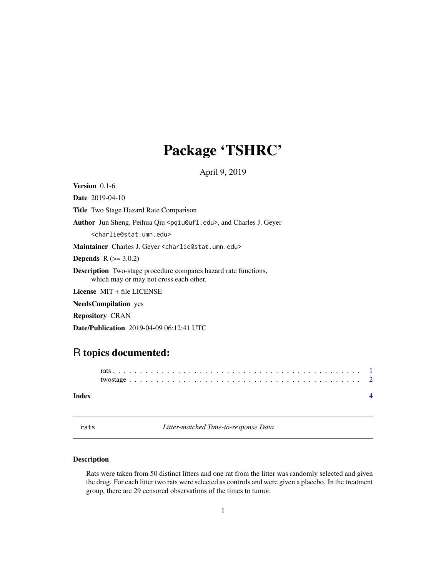## <span id="page-0-0"></span>Package 'TSHRC'

April 9, 2019

Version 0.1-6

Date 2019-04-10 Title Two Stage Hazard Rate Comparison Author Jun Sheng, Peihua Qiu <pqiu@ufl.edu>, and Charles J. Geyer <charlie@stat.umn.edu> Maintainer Charles J. Geyer <charlie@stat.umn.edu> **Depends**  $R (= 3.0.2)$ Description Two-stage procedure compares hazard rate functions, which may or may not cross each other. License MIT + file LICENSE

NeedsCompilation yes

Repository CRAN

Date/Publication 2019-04-09 06:12:41 UTC

### R topics documented:

| Index |  |  |  |  |  |  |  |  |  |  |  |  |  |  |  |  |  |  |  |  |  |  |
|-------|--|--|--|--|--|--|--|--|--|--|--|--|--|--|--|--|--|--|--|--|--|--|

rats *Litter-matched Time-to-response Data*

### Description

Rats were taken from 50 distinct litters and one rat from the litter was randomly selected and given the drug. For each litter two rats were selected as controls and were given a placebo. In the treatment group, there are 29 censored observations of the times to tumor.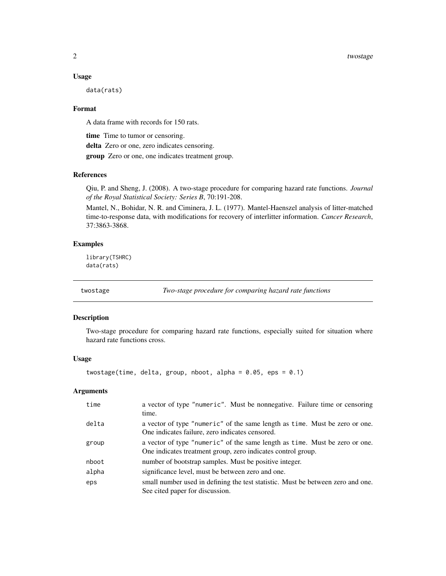#### $2$  twostage states of the states of the states of the states of two stage states of the states of the states of the states of the states of the states of the states of the states of the states of the states of the states

#### Usage

data(rats)

#### Format

A data frame with records for 150 rats.

time Time to tumor or censoring.

delta Zero or one, zero indicates censoring.

group Zero or one, one indicates treatment group.

#### References

Qiu, P. and Sheng, J. (2008). A two-stage procedure for comparing hazard rate functions. *Journal of the Royal Statistical Society: Series B*, 70:191-208.

Mantel, N., Bohidar, N. R. and Ciminera, J. L. (1977). Mantel-Haenszel analysis of litter-matched time-to-response data, with modifications for recovery of interlitter information. *Cancer Research*, 37:3863-3868.

#### Examples

library(TSHRC) data(rats)

twostage *Two-stage procedure for comparing hazard rate functions*

#### Description

Two-stage procedure for comparing hazard rate functions, especially suited for situation where hazard rate functions cross.

#### Usage

twostage(time, delta, group, nboot, alpha = 0.05, eps = 0.1)

#### Arguments

| time  | a vector of type "numeric". Must be nonnegative. Failure time or censoring<br>time.                                                         |
|-------|---------------------------------------------------------------------------------------------------------------------------------------------|
| delta | a vector of type "numeric" of the same length as time. Must be zero or one.<br>One indicates failure, zero indicates censored.              |
| group | a vector of type "numeric" of the same length as time. Must be zero or one.<br>One indicates treatment group, zero indicates control group. |
| nboot | number of bootstrap samples. Must be positive integer.                                                                                      |
| alpha | significance level, must be between zero and one.                                                                                           |
| eps   | small number used in defining the test statistic. Must be between zero and one.<br>See cited paper for discussion.                          |

<span id="page-1-0"></span>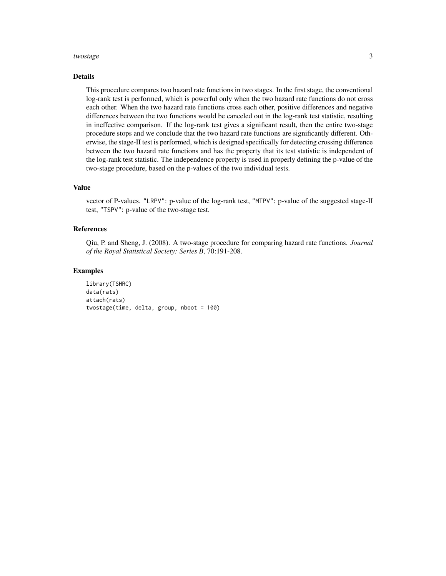#### twostage 3

#### Details

This procedure compares two hazard rate functions in two stages. In the first stage, the conventional log-rank test is performed, which is powerful only when the two hazard rate functions do not cross each other. When the two hazard rate functions cross each other, positive differences and negative differences between the two functions would be canceled out in the log-rank test statistic, resulting in ineffective comparison. If the log-rank test gives a significant result, then the entire two-stage procedure stops and we conclude that the two hazard rate functions are significantly different. Otherwise, the stage-II test is performed, which is designed specifically for detecting crossing difference between the two hazard rate functions and has the property that its test statistic is independent of the log-rank test statistic. The independence property is used in properly defining the p-value of the two-stage procedure, based on the p-values of the two individual tests.

#### Value

vector of P-values. "LRPV": p-value of the log-rank test, "MTPV": p-value of the suggested stage-II test, "TSPV": p-value of the two-stage test.

#### References

Qiu, P. and Sheng, J. (2008). A two-stage procedure for comparing hazard rate functions. *Journal of the Royal Statistical Society: Series B*, 70:191-208.

#### Examples

```
library(TSHRC)
data(rats)
attach(rats)
twostage(time, delta, group, nboot = 100)
```